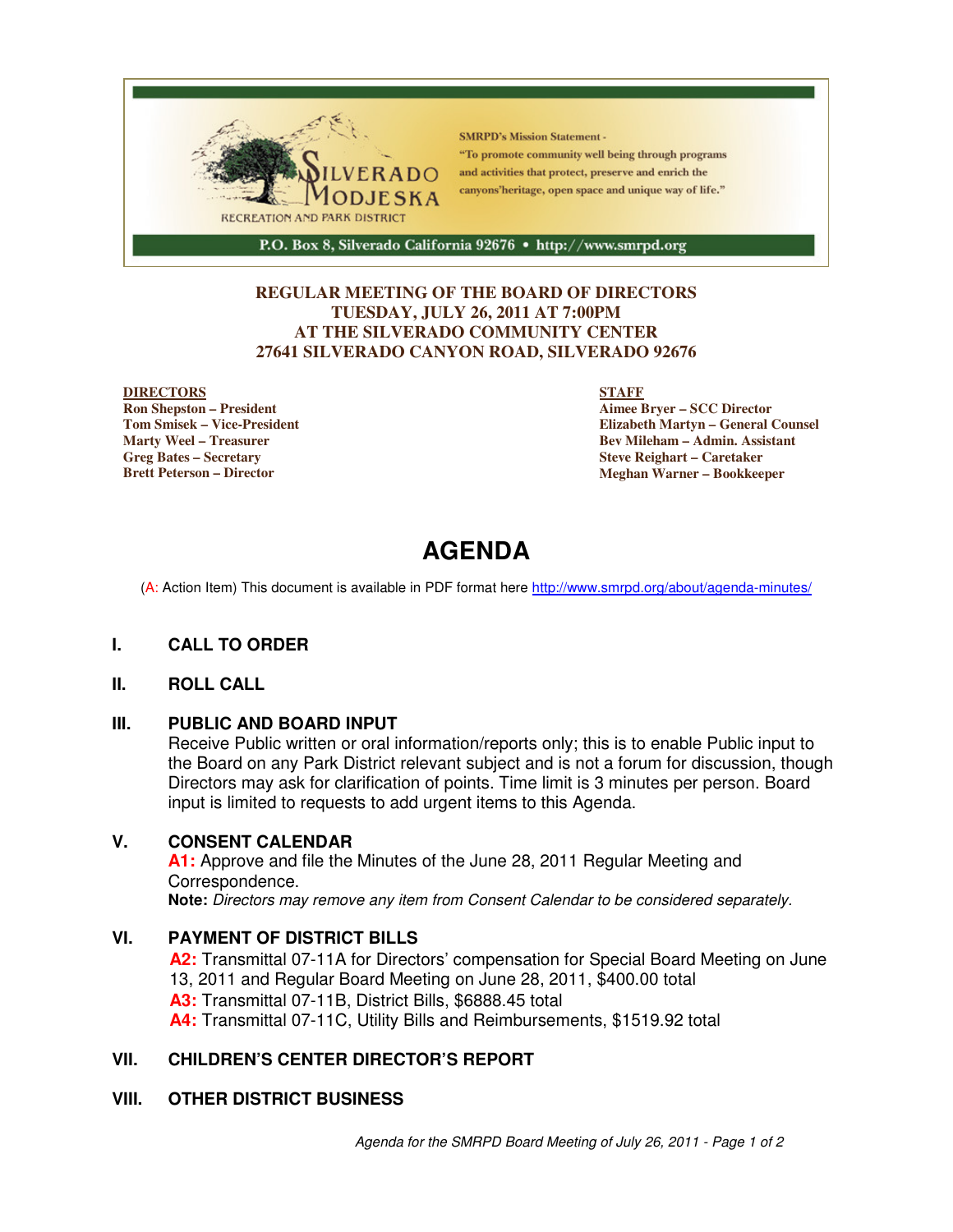

#### **REGULAR MEETING OF THE BOARD OF DIRECTORS TUESDAY, JULY 26, 2011 AT 7:00PM AT THE SILVERADO COMMUNITY CENTER 27641 SILVERADO CANYON ROAD, SILVERADO 92676**

#### **DIRECTORS**

**Ron Shepston – President Tom Smisek – Vice-President Marty Weel – Treasurer Greg Bates – Secretary Brett Peterson – Director**

#### **STAFF**

**Aimee Bryer – SCC Director Elizabeth Martyn – General Counsel Bev Mileham – Admin. Assistant Steve Reighart – Caretaker Meghan Warner – Bookkeeper**

# **AGENDA**

(A: Action Item) This document is available in PDF format here http://www.smrpd.org/about/agenda-minutes/

#### **I. CALL TO ORDER**

#### **II. ROLL CALL**

#### **III. PUBLIC AND BOARD INPUT**

Receive Public written or oral information/reports only; this is to enable Public input to the Board on any Park District relevant subject and is not a forum for discussion, though Directors may ask for clarification of points. Time limit is 3 minutes per person. Board input is limited to requests to add urgent items to this Agenda.

#### **V. CONSENT CALENDAR**

**A1:** Approve and file the Minutes of the June 28, 2011 Regular Meeting and Correspondence. **Note:** Directors may remove any item from Consent Calendar to be considered separately.

#### **VI. PAYMENT OF DISTRICT BILLS**

**A2:** Transmittal 07-11A for Directors' compensation for Special Board Meeting on June 13, 2011 and Regular Board Meeting on June 28, 2011, \$400.00 total **A3:** Transmittal 07-11B, District Bills, \$6888.45 total **A4:** Transmittal 07-11C, Utility Bills and Reimbursements, \$1519.92 total

#### **VII. CHILDREN'S CENTER DIRECTOR'S REPORT**

#### **VIII. OTHER DISTRICT BUSINESS**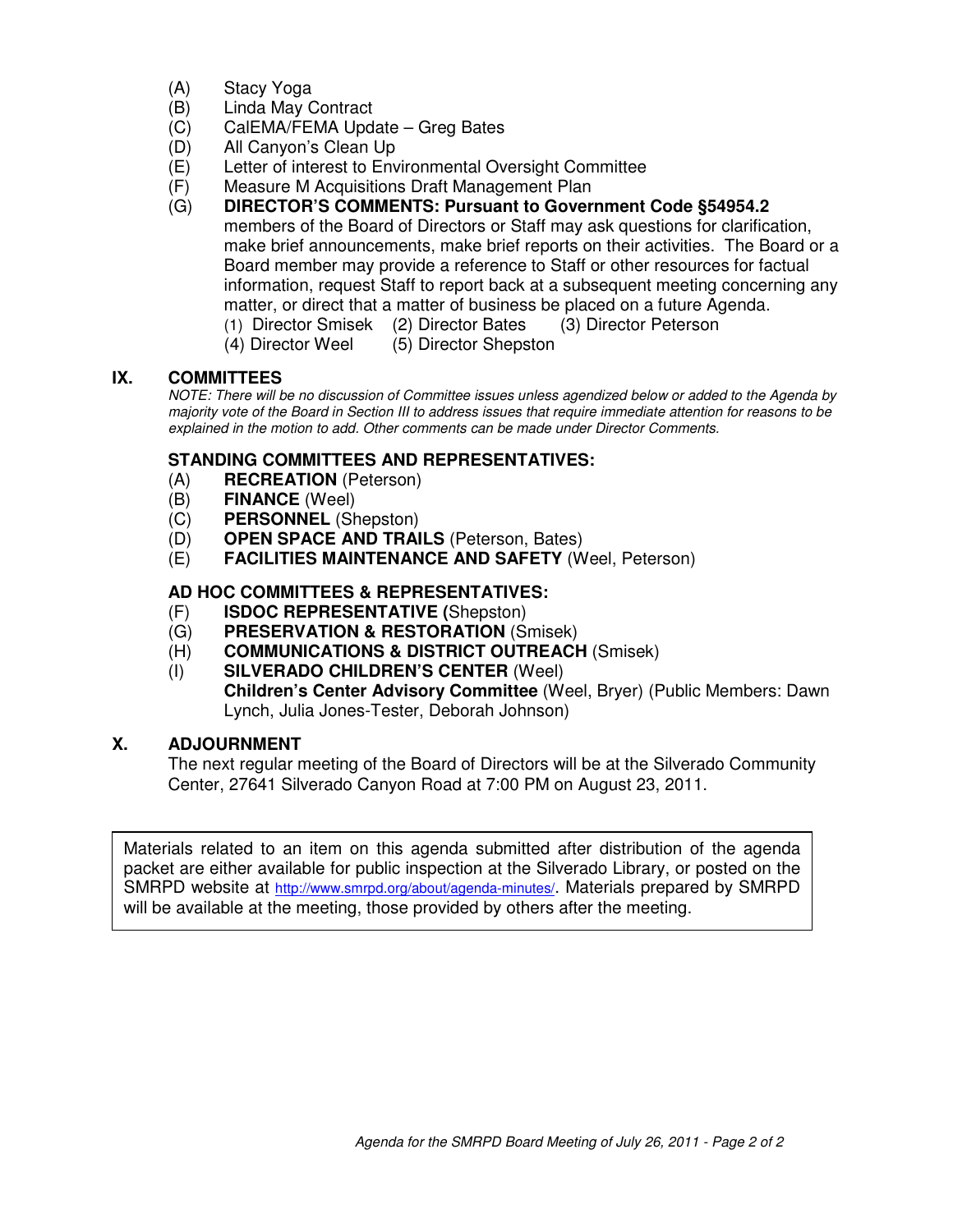- (A) Stacy Yoga
- (B) Linda May Contract
- (C) CalEMA/FEMA Update Greg Bates
- (D) All Canyon's Clean Up
- (E) Letter of interest to Environmental Oversight Committee
- (F) Measure M Acquisitions Draft Management Plan
- (G) **DIRECTOR'S COMMENTS: Pursuant to Government Code §54954.2** members of the Board of Directors or Staff may ask questions for clarification, make brief announcements, make brief reports on their activities. The Board or a Board member may provide a reference to Staff or other resources for factual information, request Staff to report back at a subsequent meeting concerning any matter, or direct that a matter of business be placed on a future Agenda.
	- (1) Director Smisek (2) Director Bates (3) Director Peterson
		- (4) Director Weel (5) Director Shepston

#### **IX. COMMITTEES**

NOTE: There will be no discussion of Committee issues unless agendized below or added to the Agenda by majority vote of the Board in Section III to address issues that require immediate attention for reasons to be explained in the motion to add. Other comments can be made under Director Comments.

#### **STANDING COMMITTEES AND REPRESENTATIVES:**

- (A) **RECREATION** (Peterson)
- (B) **FINANCE** (Weel)
- (C) **PERSONNEL** (Shepston)
- (D) **OPEN SPACE AND TRAILS** (Peterson, Bates)
- (E) **FACILITIES MAINTENANCE AND SAFETY** (Weel, Peterson)

#### **AD HOC COMMITTEES & REPRESENTATIVES:**

- (F) **ISDOC REPRESENTATIVE (**Shepston)
- (G) **PRESERVATION & RESTORATION** (Smisek)
- (H) **COMMUNICATIONS & DISTRICT OUTREACH** (Smisek)
- (I) **SILVERADO CHILDREN'S CENTER** (Weel) **Children's Center Advisory Committee** (Weel, Bryer) (Public Members: Dawn Lynch, Julia Jones-Tester, Deborah Johnson)

#### **X. ADJOURNMENT**

The next regular meeting of the Board of Directors will be at the Silverado Community Center, 27641 Silverado Canyon Road at 7:00 PM on August 23, 2011.

Materials related to an item on this agenda submitted after distribution of the agenda packet are either available for public inspection at the Silverado Library, or posted on the SMRPD website at http://www.smrpd.org/about/agenda-minutes/. Materials prepared by SMRPD will be available at the meeting, those provided by others after the meeting.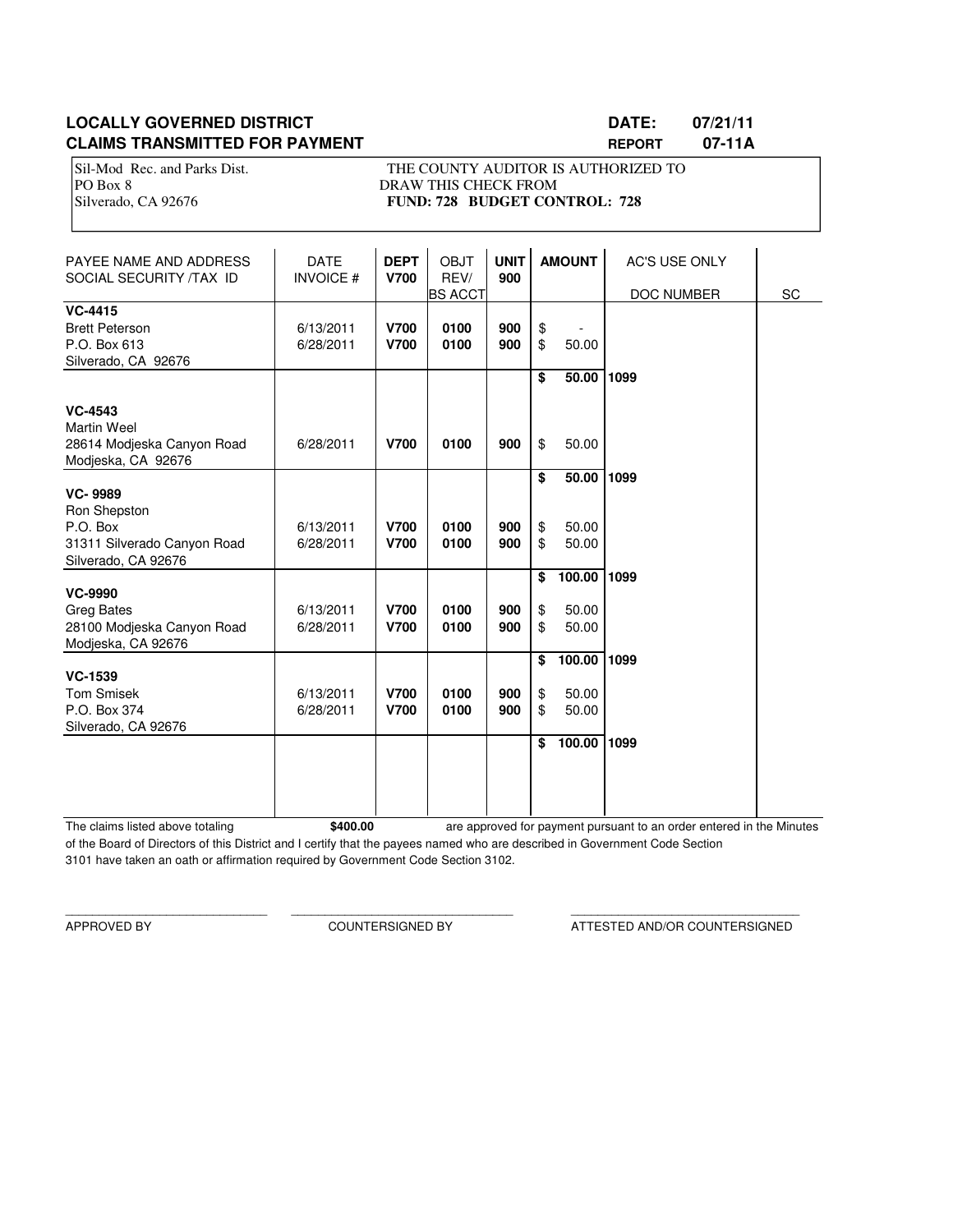#### **LOCALLY GOVERNED DISTRICT LATE: 07/21/11 CLAIMS TRANSMITTED FOR PAYMENT REPORT 07-11A**

Sil-Mod Rec. and Parks Dist. THE COUNTY AUDITOR IS AUTHORIZED TO PO Box 8 DRAW THIS CHECK FROM Silverado, CA 92676 **FUND: 728 BUDGET CONTROL: 728** 

| PAYEE NAME AND ADDRESS<br>SOCIAL SECURITY /TAX ID                                                | <b>DATE</b><br><b>INVOICE#</b> | <b>DEPT</b><br><b>V700</b> | <b>OBJT</b><br>REV/<br><b>BS ACCT</b> | <b>UNIT</b><br>900 |                      | <b>AMOUNT</b>                      | <b>AC'S USE ONLY</b><br>DOC NUMBER | SC |
|--------------------------------------------------------------------------------------------------|--------------------------------|----------------------------|---------------------------------------|--------------------|----------------------|------------------------------------|------------------------------------|----|
| <b>VC-4415</b><br><b>Brett Peterson</b><br>P.O. Box 613<br>Silverado, CA 92676                   | 6/13/2011<br>6/28/2011         | <b>V700</b><br><b>V700</b> | 0100<br>0100                          | 900<br>900         | \$<br>\$             | 50.00                              |                                    |    |
| <b>VC-4543</b><br><b>Martin Weel</b><br>28614 Modieska Canyon Road<br>Modjeska, CA 92676         | 6/28/2011                      | <b>V700</b>                | 0100                                  | 900                | \$<br>\$             | 50.00<br>50.00                     | 1099                               |    |
| <b>VC-9989</b><br>Ron Shepston<br>P.O. Box<br>31311 Silverado Canyon Road<br>Silverado, CA 92676 | 6/13/2011<br>6/28/2011         | <b>V700</b><br><b>V700</b> | 0100<br>0100                          | 900<br>900         | \$<br>\$<br>\$       | 50.00<br>50.00<br>50.00            | 1099                               |    |
| <b>VC-9990</b><br><b>Greg Bates</b><br>28100 Modjeska Canyon Road<br>Modjeska, CA 92676          | 6/13/2011<br>6/28/2011         | <b>V700</b><br><b>V700</b> | 0100<br>0100                          | 900<br>900         | \$<br>\$<br>\$       | 100.00<br>50.00<br>50.00           | 1099                               |    |
| <b>VC-1539</b><br><b>Tom Smisek</b><br>P.O. Box 374<br>Silverado, CA 92676                       | 6/13/2011<br>6/28/2011         | <b>V700</b><br><b>V700</b> | 0100<br>0100                          | 900<br>900         | \$<br>\$<br>\$<br>\$ | 100.00<br>50.00<br>50.00<br>100.00 | 1099<br>1099                       |    |
|                                                                                                  |                                |                            |                                       |                    |                      |                                    |                                    |    |

The claims listed above totaling **\$400.00** of the Board of Directors of this District and I certify that the payees named who are described in Government Code Section 3101 have taken an oath or affirmation required by Government Code Section 3102. are approved for payment pursuant to an order entered in the Minutes

\_\_\_\_\_\_\_\_\_\_\_\_\_\_\_\_\_\_\_\_\_\_\_\_\_\_\_\_\_\_ \_\_\_\_\_\_\_\_\_\_\_\_\_\_\_\_\_\_\_\_\_\_\_\_\_\_\_\_\_\_\_\_\_ \_\_\_\_\_\_\_\_\_\_\_\_\_\_\_\_\_\_\_\_\_\_\_\_\_\_\_\_\_\_\_\_\_\_

APPROVED BY COUNTERSIGNED BY ATTESTED AND/OR COUNTERSIGNED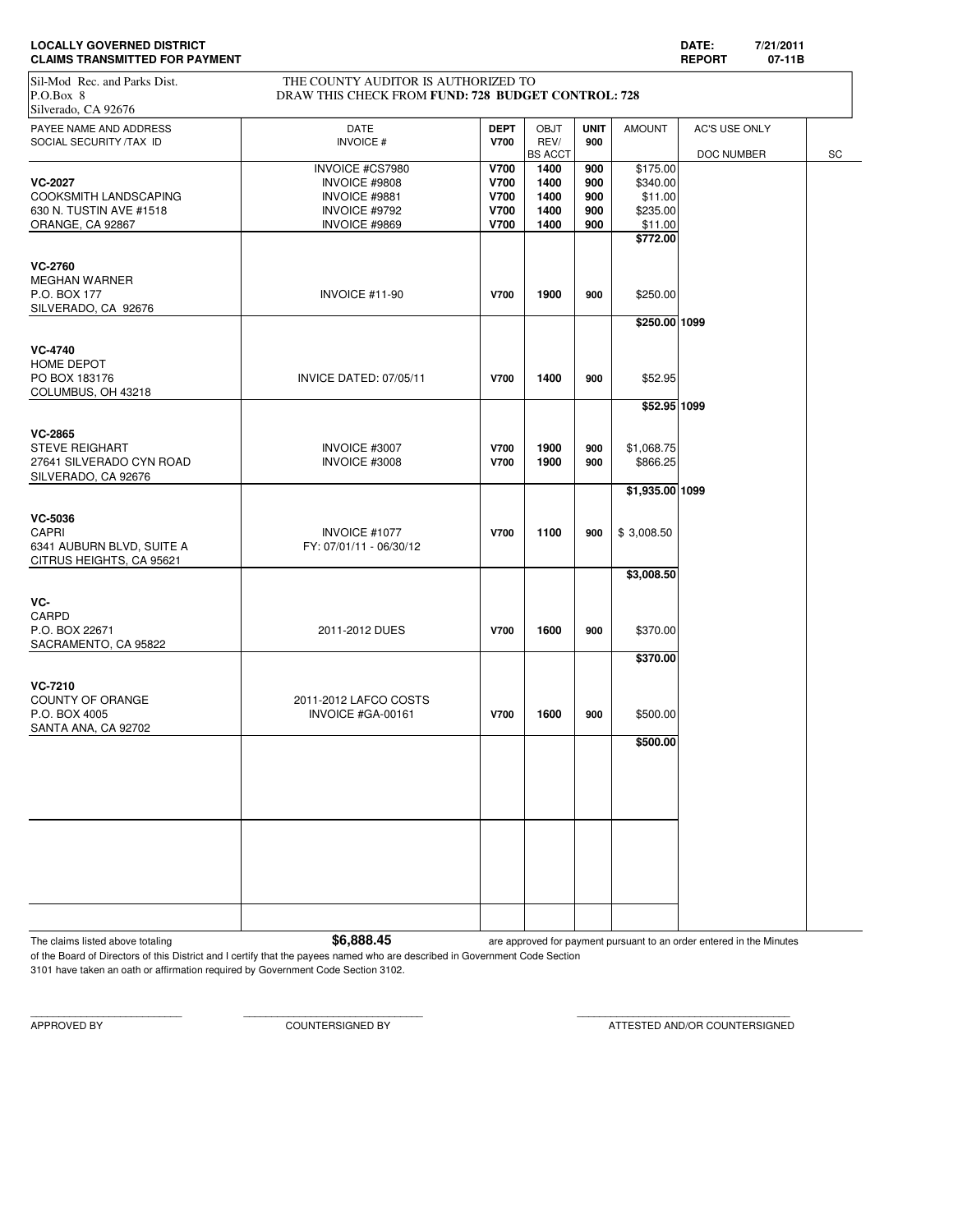| <b>LOCALLY GOVERNED DISTRICT</b>      | <b>DATE</b>           | 7/21/2011 |
|---------------------------------------|-----------------------|-----------|
| <b>CLAIMS TRANSMITTED FOR PAYMENT</b> | <b>REPORT</b><br>$ -$ | 07-11B    |

# Sil-Mod Rec. and Parks Dist. THE COUNTY AUDITOR IS AUTHORIZED TO

| P.O.Box 8<br>Silverado, CA 92676                                                           | DRAW THIS CHECK FROM FUND: 728 BUDGET CONTROL: 728 |                            |                     |                    |                        |                      |    |
|--------------------------------------------------------------------------------------------|----------------------------------------------------|----------------------------|---------------------|--------------------|------------------------|----------------------|----|
| PAYEE NAME AND ADDRESS<br>SOCIAL SECURITY /TAX ID                                          | DATE<br><b>INVOICE#</b>                            | <b>DEPT</b><br><b>V700</b> | <b>OBJT</b><br>REV/ | <b>UNIT</b><br>900 | <b>AMOUNT</b>          | <b>AC'S USE ONLY</b> |    |
|                                                                                            |                                                    |                            | <b>BS ACCT</b>      |                    |                        | DOC NUMBER           | SC |
|                                                                                            | INVOICE #CS7980                                    | <b>V700</b>                | 1400                | 900                | \$175.00               |                      |    |
| <b>VC-2027</b>                                                                             | INVOICE #9808                                      | <b>V700</b>                | 1400                | 900                | \$340.00               |                      |    |
| COOKSMITH LANDSCAPING                                                                      | INVOICE #9881                                      | <b>V700</b>                | 1400                | 900                | \$11.00                |                      |    |
| 630 N. TUSTIN AVE #1518                                                                    | INVOICE #9792                                      | <b>V700</b>                | 1400                | 900                | \$235.00               |                      |    |
| ORANGE, CA 92867                                                                           | INVOICE #9869                                      | <b>V700</b>                | 1400                | 900                | \$11.00                |                      |    |
|                                                                                            |                                                    |                            |                     |                    | \$772.00               |                      |    |
| <b>VC-2760</b><br><b>MEGHAN WARNER</b><br>P.O. BOX 177<br>SILVERADO, CA 92676              | INVOICE #11-90                                     | <b>V700</b>                | 1900                | 900                | \$250.00               |                      |    |
|                                                                                            |                                                    |                            |                     |                    | \$250.00 1099          |                      |    |
| <b>VC-4740</b><br>HOME DEPOT<br>PO BOX 183176<br>COLUMBUS, OH 43218                        | INVICE DATED: 07/05/11                             | <b>V700</b>                | 1400                | 900                | \$52.95                |                      |    |
|                                                                                            |                                                    |                            |                     |                    | \$52.95 1099           |                      |    |
|                                                                                            |                                                    |                            |                     |                    |                        |                      |    |
| <b>VC-2865</b><br><b>STEVE REIGHART</b><br>27641 SILVERADO CYN ROAD<br>SILVERADO, CA 92676 | INVOICE #3007<br>INVOICE #3008                     | V700<br>V700               | 1900<br>1900        | 900<br>900         | \$1,068.75<br>\$866.25 |                      |    |
|                                                                                            |                                                    |                            |                     |                    | \$1,935.00 1099        |                      |    |
| VC-5036<br>CAPRI<br>6341 AUBURN BLVD, SUITE A<br>CITRUS HEIGHTS, CA 95621                  | INVOICE #1077<br>FY: 07/01/11 - 06/30/12           | <b>V700</b>                | 1100                | 900                | \$3,008.50             |                      |    |
|                                                                                            |                                                    |                            |                     |                    | \$3,008.50             |                      |    |
| VC-<br>CARPD<br>P.O. BOX 22671<br>SACRAMENTO, CA 95822                                     | 2011-2012 DUES                                     | <b>V700</b>                | 1600                | 900                | \$370.00               |                      |    |
|                                                                                            |                                                    |                            |                     |                    | \$370.00               |                      |    |
| <b>VC-7210</b><br>COUNTY OF ORANGE<br>P.O. BOX 4005<br>SANTA ANA, CA 92702                 | 2011-2012 LAFCO COSTS<br>INVOICE #GA-00161         | <b>V700</b>                | 1600                | 900                | \$500.00               |                      |    |
|                                                                                            |                                                    |                            |                     |                    | \$500.00               |                      |    |
|                                                                                            |                                                    |                            |                     |                    |                        |                      |    |
|                                                                                            |                                                    |                            |                     |                    |                        |                      |    |
|                                                                                            |                                                    |                            |                     |                    |                        |                      |    |
|                                                                                            |                                                    |                            |                     |                    |                        |                      |    |
|                                                                                            |                                                    |                            |                     |                    |                        |                      |    |
|                                                                                            |                                                    |                            |                     |                    |                        |                      |    |

The claims listed above totaling **1998** are approved for payment pursuant to an order entered in the Minutes

of the Board of Directors of this District and I certify that the payees named who are described in Government Code Section 3101 have taken an oath or affirmation required by Government Code Section 3102.

APPROVED BY COUNTERSIGNED BY ATTESTED AND/OR COUNTERSIGNED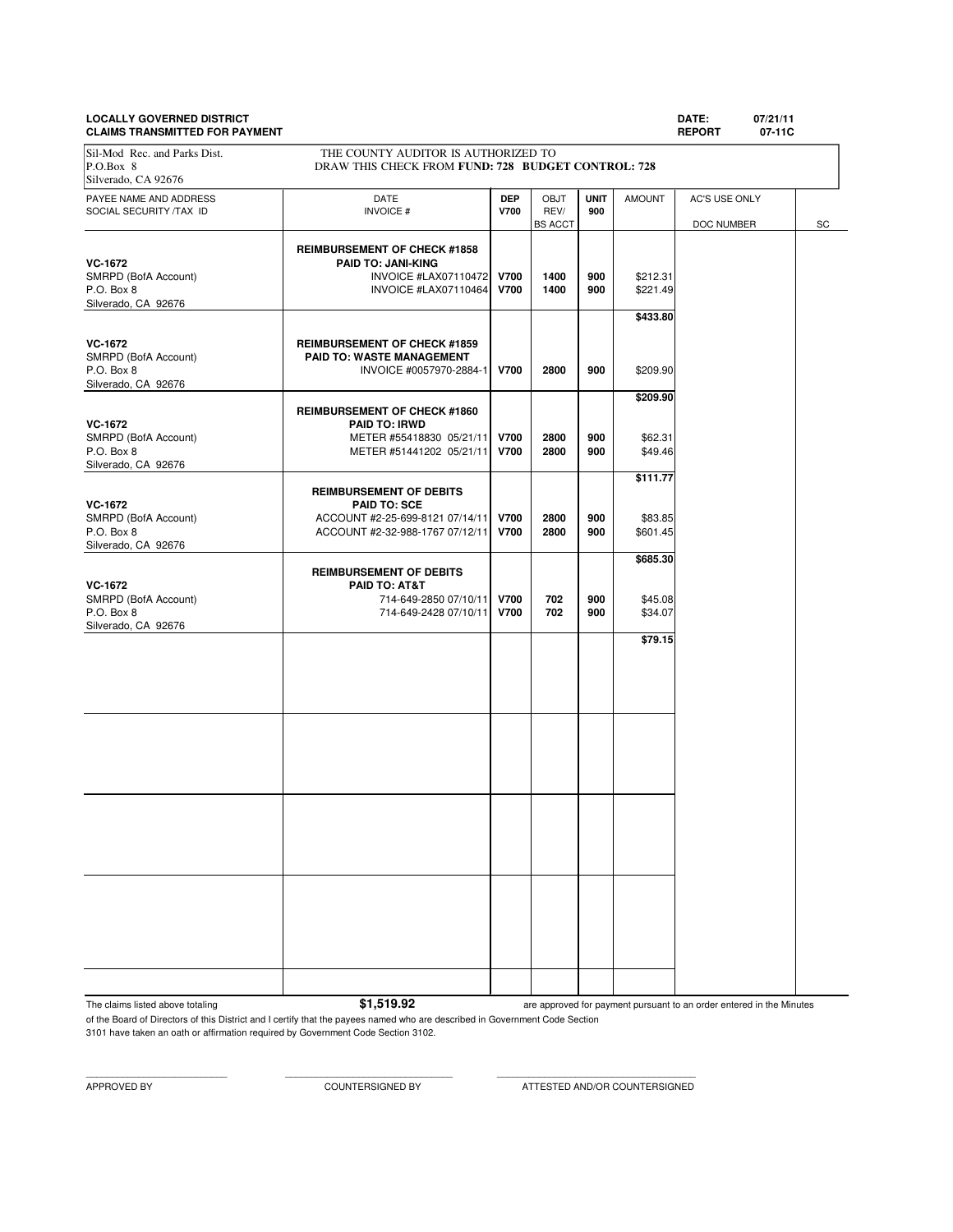# **LOCALLY GOVERNED DISTRICT DATE: 07/21/11**

**CLAIMS TRANSMITTED FOR PAYMENT REPORT 07-11C** PAYEE NAME AND ADDRESS **DATE DEP** OBJT **UNIT** AMOUNT AC'S USE ONLY SOCIAL SECURITY /TAX ID **INVOICE # V700** REV/ **900 REV/ 900 BS** ACCT DOC NUMBER SC **REIMBURSEMENT OF CHECK #1858 VC-1672 PAID TO: JANI-KING**<br>
SMRPD (BofA Account) **PAID TO: JANI-KING** SMRPD (BofA Account) **INVOICE #LAX07110472 V700** 1400 900 \$212.31<br>P O Box 8 **INVOICE #LAX07110464 V700** 1400 900 \$221.49 P.O. Box 8 **INVOICE #LAX07110464 V700** 1400 | 900 | \$221.49 Silverado, CA 92676 **\$433.80 VC-1672 REIMBURSEMENT OF CHECK #1859**<br> **RAID TO: WASTE MANAGEMENT** SMRPD (BofA Account) **PAID TO: WASTE MANAGEMENT**<br>P.O. Box 8 **PAID TO: WASTE MANAGEMENT**<br>INVOICE #0057970-288 P.O. Box 8 INVOICE #0057970-2884-1 **V700 2800 900** \$209.90 Silverado, CA 92676 **\$209.90 REIMBURSEMENT OF CHECK #1860 VC-1672 PAID TO: IRWD** SMRPD (BofA Account) **METER #55418830 05/21/11 V700 2800** 900 \$62.31<br>P.O. Box 8 62.31  $METER #51441202 05/21/11$ Silverado, CA 92676 **\$111.77 REIMBURSEMENT OF DEBITS VC-1672 PAID TO: SCE** SMRPD (BofA Account)  $ACCOUNT$  #2-25-699-8121 07/14/11 **V700** 2800 900 \$83.85<br>P.O. Box 8 900 \$601.45 ACCOUNT #2-32-988-1767 07/12/11 **V700** 2800 900 \$601.45 Silverado, CA 92676 **\$685.30 REIMBURSEMENT OF DEBITS VC-1672 PAID TO: AT&T** SMRPD (BofA Account) 2010/11/2700 702 900 \$45.08<br>P.O. Box 8 702 900 \$34.07 P.O. Box 8 714-649-2428 07/10/11 **V700 702 900** \$34.07 Silverado, CA 92676 **\$79.15** Sil-Mod Rec. and Parks Dist. THE COUNTY AUDITOR IS AUTHORIZED TO P.O.Box 8 DRAW THIS CHECK FROM **FUND: 728 BUDGET CONTROL: 728** Silverado, CA 92676

The claims listed above totaling **\$1,519.92** 

are approved for payment pursuant to an order entered in the Minutes

of the Board of Directors of this District and I certify that the payees named who are described in Government Code Section 3101 have taken an oath or affirmation required by Government Code Section 3102.

APPROVED BY COUNTERSIGNED BY ATTESTED AND/OR COUNTERSIGNED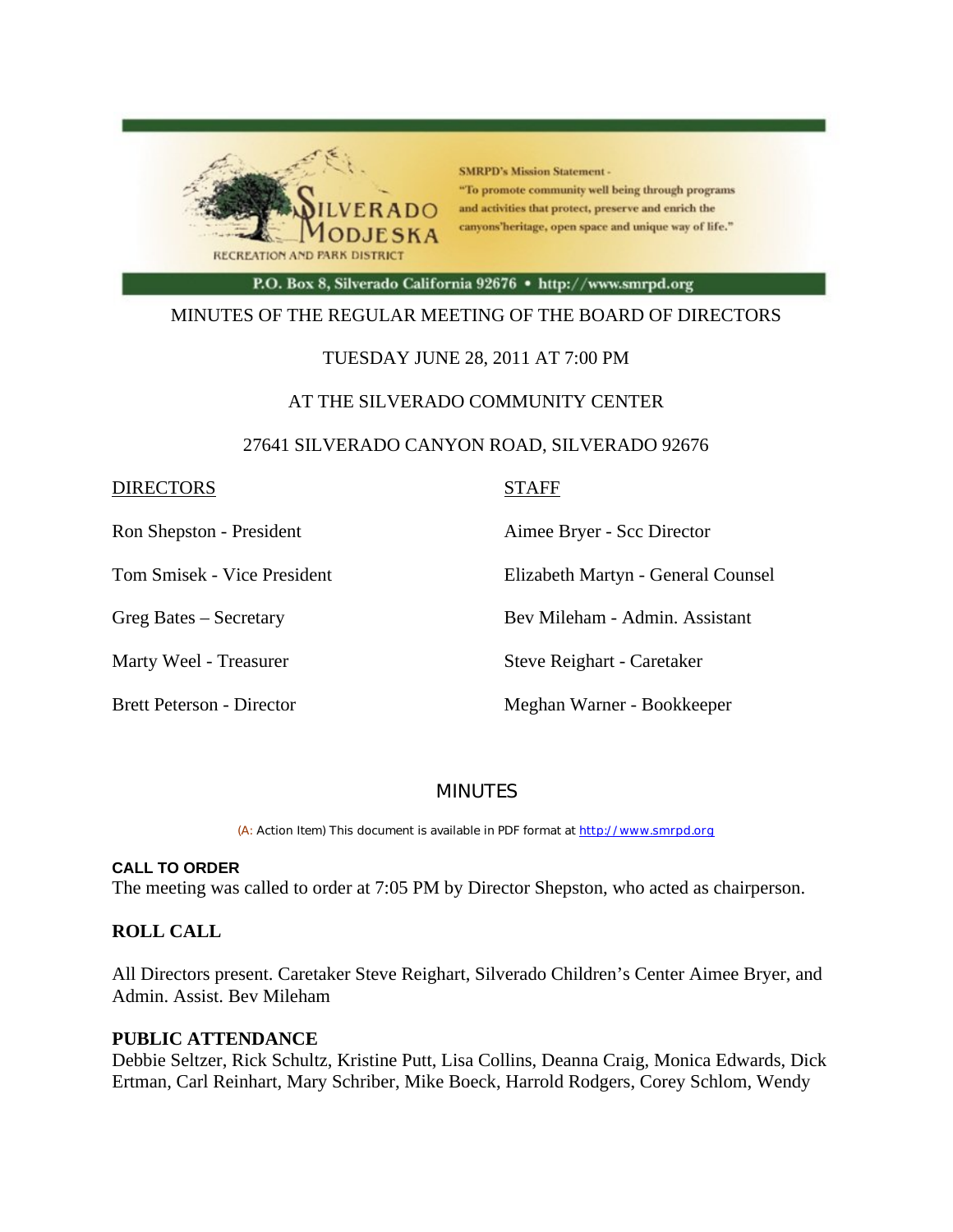

**SMRPD's Mission Statement -**"To promote community well being through programs and activities that protect, preserve and enrich the canyons'heritage, open space and unique way of life."

P.O. Box 8, Silverado California 92676 · http://www.smrpd.org

#### MINUTES OF THE REGULAR MEETING OF THE BOARD OF DIRECTORS

#### TUESDAY JUNE 28, 2011 AT 7:00 PM

#### AT THE SILVERADO COMMUNITY CENTER

#### 27641 SILVERADO CANYON ROAD, SILVERADO 92676

| <b>DIRECTORS</b>                 | <b>STAFF</b>                       |
|----------------------------------|------------------------------------|
| Ron Shepston - President         | Aimee Bryer - Scc Director         |
| Tom Smisek - Vice President      | Elizabeth Martyn - General Counsel |
| Greg Bates – Secretary           | Bev Mileham - Admin. Assistant     |
| Marty Weel - Treasurer           | Steve Reighart - Caretaker         |
| <b>Brett Peterson - Director</b> | Meghan Warner - Bookkeeper         |

## MINUTES

(A: Action Item) This document is available in PDF format at http://www.smrpd.org

#### **CALL TO ORDER**

The meeting was called to order at 7:05 PM by Director Shepston, who acted as chairperson.

#### **ROLL CALL**

All Directors present. Caretaker Steve Reighart, Silverado Children's Center Aimee Bryer, and Admin. Assist. Bev Mileham

#### **PUBLIC ATTENDANCE**

Debbie Seltzer, Rick Schultz, Kristine Putt, Lisa Collins, Deanna Craig, Monica Edwards, Dick Ertman, Carl Reinhart, Mary Schriber, Mike Boeck, Harrold Rodgers, Corey Schlom, Wendy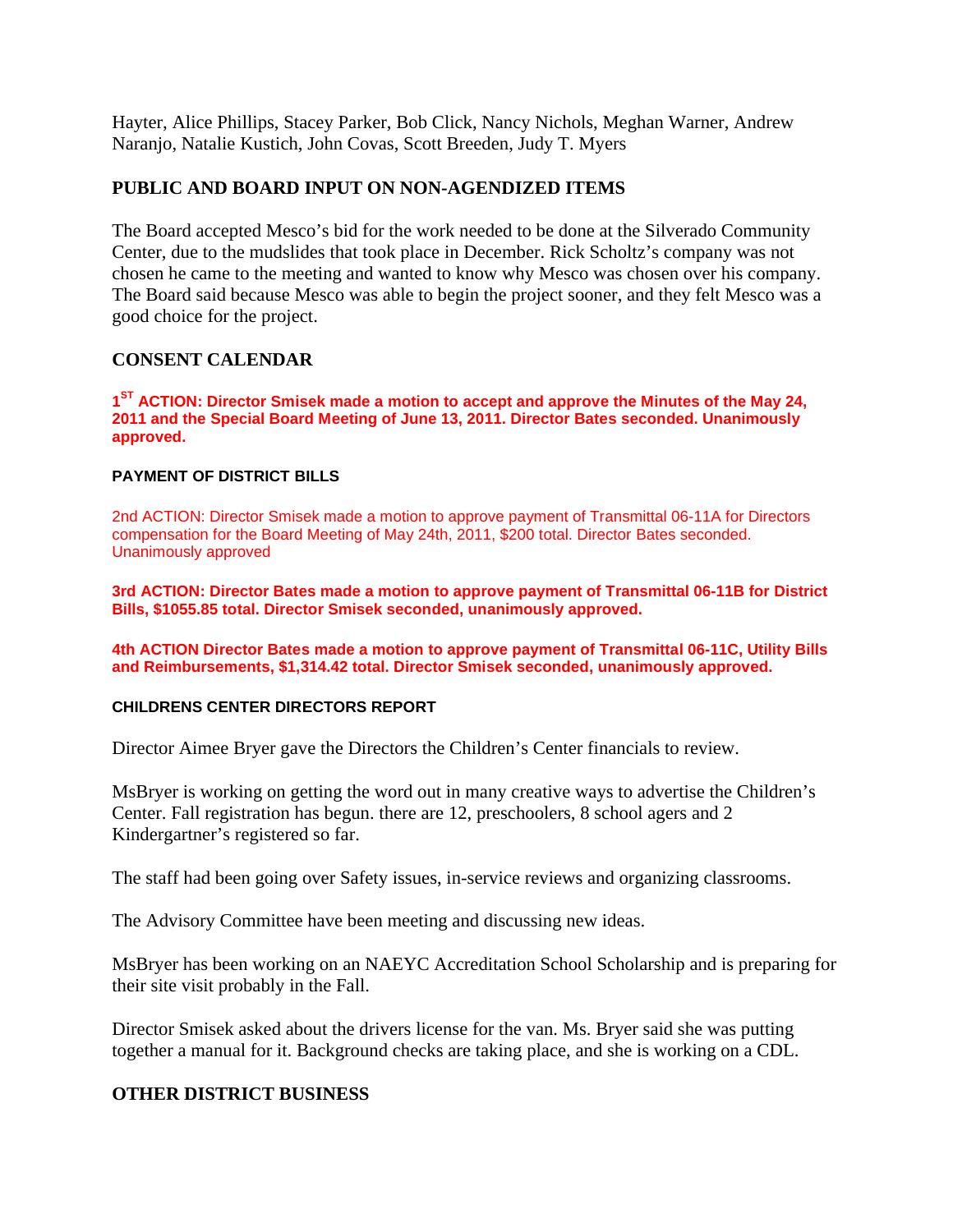Hayter, Alice Phillips, Stacey Parker, Bob Click, Nancy Nichols, Meghan Warner, Andrew Naranjo, Natalie Kustich, John Covas, Scott Breeden, Judy T. Myers

#### **PUBLIC AND BOARD INPUT ON NON-AGENDIZED ITEMS**

The Board accepted Mesco's bid for the work needed to be done at the Silverado Community Center, due to the mudslides that took place in December. Rick Scholtz's company was not chosen he came to the meeting and wanted to know why Mesco was chosen over his company. The Board said because Mesco was able to begin the project sooner, and they felt Mesco was a good choice for the project.

#### **CONSENT CALENDAR**

**1ST ACTION: Director Smisek made a motion to accept and approve the Minutes of the May 24, 2011 and the Special Board Meeting of June 13, 2011. Director Bates seconded. Unanimously approved.**

#### **PAYMENT OF DISTRICT BILLS**

2nd ACTION: Director Smisek made a motion to approve payment of Transmittal 06-11A for Directors compensation for the Board Meeting of May 24th, 2011, \$200 total. Director Bates seconded. Unanimously approved

**3rd ACTION: Director Bates made a motion to approve payment of Transmittal 06-11B for District Bills, \$1055.85 total. Director Smisek seconded, unanimously approved.**

**4th ACTION Director Bates made a motion to approve payment of Transmittal 06-11C, Utility Bills and Reimbursements, \$1,314.42 total. Director Smisek seconded, unanimously approved.**

#### **CHILDRENS CENTER DIRECTORS REPORT**

Director Aimee Bryer gave the Directors the Children's Center financials to review.

MsBryer is working on getting the word out in many creative ways to advertise the Children's Center. Fall registration has begun. there are 12, preschoolers, 8 school agers and 2 Kindergartner's registered so far.

The staff had been going over Safety issues, in-service reviews and organizing classrooms.

The Advisory Committee have been meeting and discussing new ideas.

MsBryer has been working on an NAEYC Accreditation School Scholarship and is preparing for their site visit probably in the Fall.

Director Smisek asked about the drivers license for the van. Ms. Bryer said she was putting together a manual for it. Background checks are taking place, and she is working on a CDL.

## **OTHER DISTRICT BUSINESS**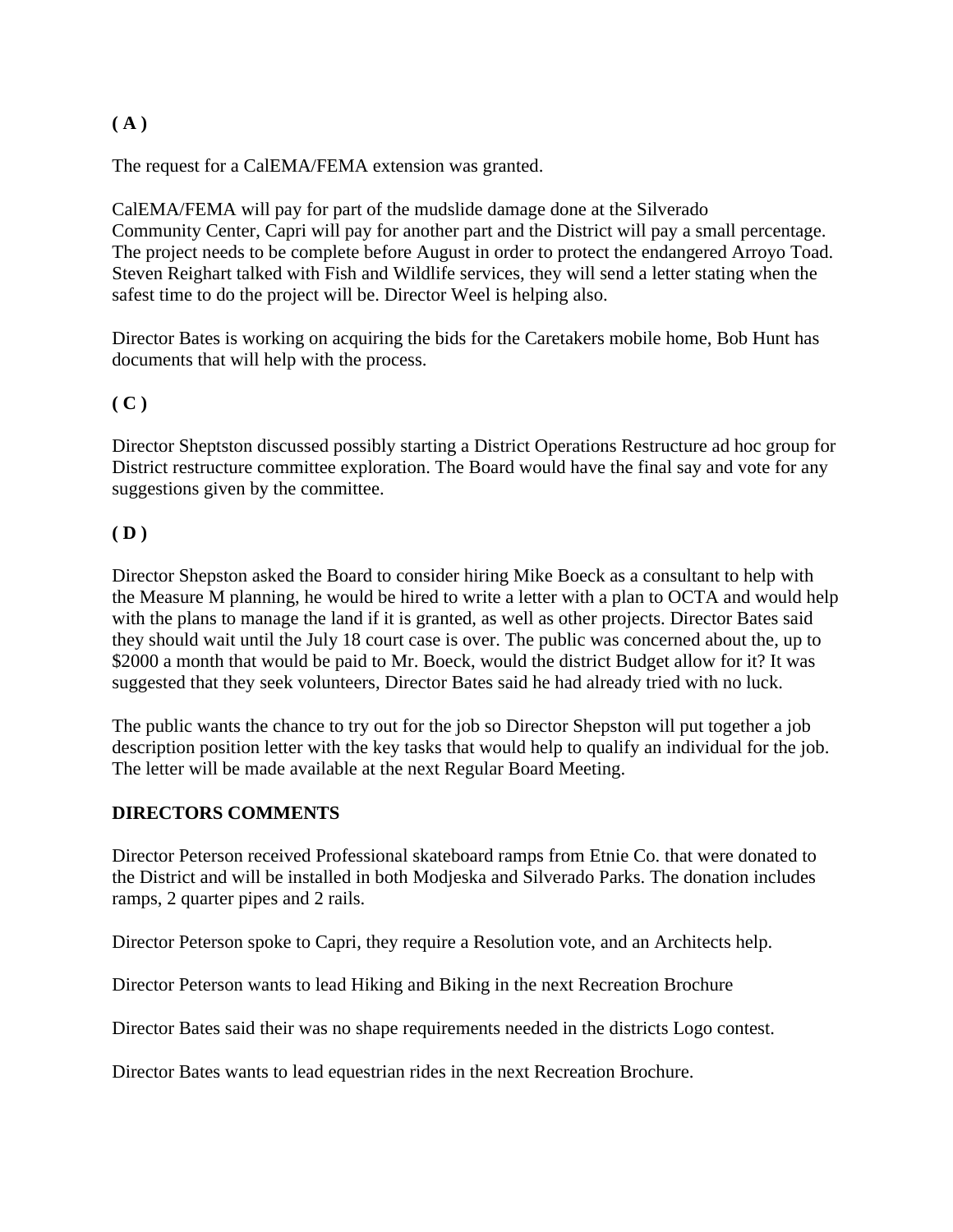## **( A )**

The request for a CalEMA/FEMA extension was granted.

CalEMA/FEMA will pay for part of the mudslide damage done at the Silverado Community Center, Capri will pay for another part and the District will pay a small percentage. The project needs to be complete before August in order to protect the endangered Arroyo Toad. Steven Reighart talked with Fish and Wildlife services, they will send a letter stating when the safest time to do the project will be. Director Weel is helping also.

Director Bates is working on acquiring the bids for the Caretakers mobile home, Bob Hunt has documents that will help with the process.

## **( C )**

Director Sheptston discussed possibly starting a District Operations Restructure ad hoc group for District restructure committee exploration. The Board would have the final say and vote for any suggestions given by the committee.

#### **( D )**

Director Shepston asked the Board to consider hiring Mike Boeck as a consultant to help with the Measure M planning, he would be hired to write a letter with a plan to OCTA and would help with the plans to manage the land if it is granted, as well as other projects. Director Bates said they should wait until the July 18 court case is over. The public was concerned about the, up to \$2000 a month that would be paid to Mr. Boeck, would the district Budget allow for it? It was suggested that they seek volunteers, Director Bates said he had already tried with no luck.

The public wants the chance to try out for the job so Director Shepston will put together a job description position letter with the key tasks that would help to qualify an individual for the job. The letter will be made available at the next Regular Board Meeting.

## **DIRECTORS COMMENTS**

Director Peterson received Professional skateboard ramps from Etnie Co. that were donated to the District and will be installed in both Modjeska and Silverado Parks. The donation includes ramps, 2 quarter pipes and 2 rails.

Director Peterson spoke to Capri, they require a Resolution vote, and an Architects help.

Director Peterson wants to lead Hiking and Biking in the next Recreation Brochure

Director Bates said their was no shape requirements needed in the districts Logo contest.

Director Bates wants to lead equestrian rides in the next Recreation Brochure.